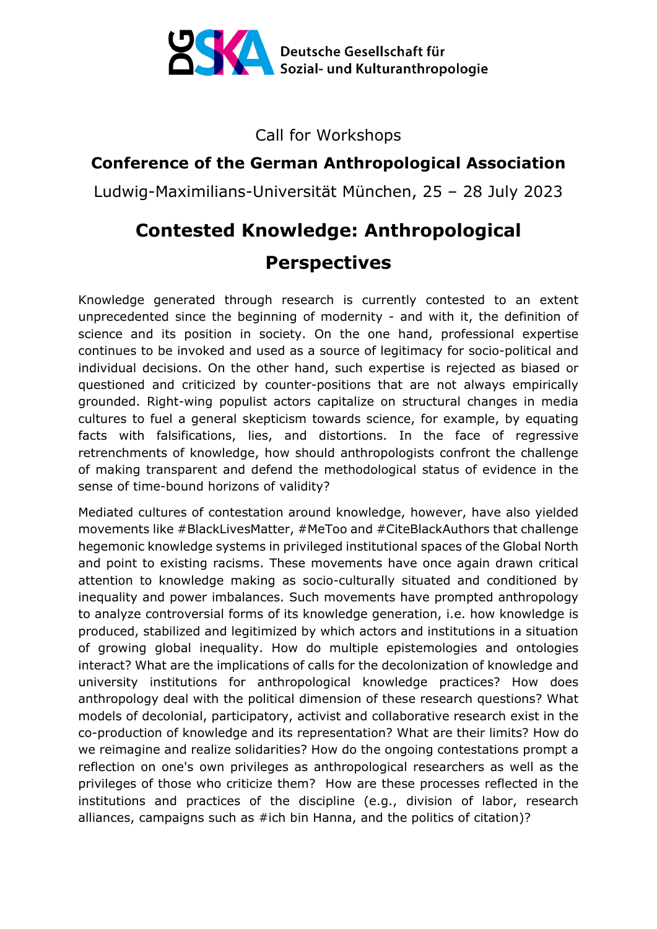

Call for Workshops

## **Conference of the German Anthropological Association**

Ludwig-Maximilians-Universität München, 25 – 28 July 2023

## **Contested Knowledge: Anthropological Perspectives**

Knowledge generated through research is currently contested to an extent unprecedented since the beginning of modernity - and with it, the definition of science and its position in society. On the one hand, professional expertise continues to be invoked and used as a source of legitimacy for socio-political and individual decisions. On the other hand, such expertise is rejected as biased or questioned and criticized by counter-positions that are not always empirically grounded. Right-wing populist actors capitalize on structural changes in media cultures to fuel a general skepticism towards science, for example, by equating facts with falsifications, lies, and distortions. In the face of regressive retrenchments of knowledge, how should anthropologists confront the challenge of making transparent and defend the methodological status of evidence in the sense of time-bound horizons of validity?

Mediated cultures of contestation around knowledge, however, have also yielded movements like #BlackLivesMatter, #MeToo and #CiteBlackAuthors that challenge hegemonic knowledge systems in privileged institutional spaces of the Global North and point to existing racisms. These movements have once again drawn critical attention to knowledge making as socio-culturally situated and conditioned by inequality and power imbalances. Such movements have prompted anthropology to analyze controversial forms of its knowledge generation, i.e. how knowledge is produced, stabilized and legitimized by which actors and institutions in a situation of growing global inequality. How do multiple epistemologies and ontologies interact? What are the implications of calls for the decolonization of knowledge and university institutions for anthropological knowledge practices? How does anthropology deal with the political dimension of these research questions? What models of decolonial, participatory, activist and collaborative research exist in the co-production of knowledge and its representation? What are their limits? How do we reimagine and realize solidarities? How do the ongoing contestations prompt a reflection on one's own privileges as anthropological researchers as well as the privileges of those who criticize them? How are these processes reflected in the institutions and practices of the discipline (e.g., division of labor, research alliances, campaigns such as #ich bin Hanna, and the politics of citation)?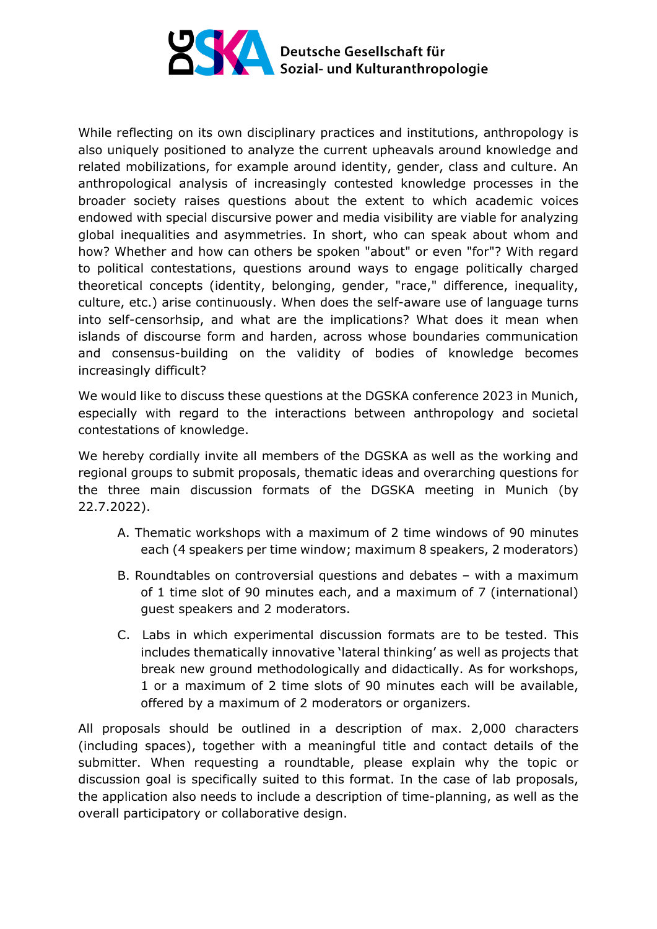

While reflecting on its own disciplinary practices and institutions, anthropology is also uniquely positioned to analyze the current upheavals around knowledge and related mobilizations, for example around identity, gender, class and culture. An anthropological analysis of increasingly contested knowledge processes in the broader society raises questions about the extent to which academic voices endowed with special discursive power and media visibility are viable for analyzing global inequalities and asymmetries. In short, who can speak about whom and how? Whether and how can others be spoken "about" or even "for"? With regard to political contestations, questions around ways to engage politically charged theoretical concepts (identity, belonging, gender, "race," difference, inequality, culture, etc.) arise continuously. When does the self-aware use of language turns into self-censorhsip, and what are the implications? What does it mean when islands of discourse form and harden, across whose boundaries communication and consensus-building on the validity of bodies of knowledge becomes increasingly difficult?

We would like to discuss these questions at the DGSKA conference 2023 in Munich, especially with regard to the interactions between anthropology and societal contestations of knowledge.

We hereby cordially invite all members of the DGSKA as well as the working and regional groups to submit proposals, thematic ideas and overarching questions for the three main discussion formats of the DGSKA meeting in Munich (by 22.7.2022).

- A. Thematic workshops with a maximum of 2 time windows of 90 minutes each (4 speakers per time window; maximum 8 speakers, 2 moderators)
- B. Roundtables on controversial questions and debates with a maximum of 1 time slot of 90 minutes each, and a maximum of 7 (international) guest speakers and 2 moderators.
- C. Labs in which experimental discussion formats are to be tested. This includes thematically innovative 'lateral thinking' as well as projects that break new ground methodologically and didactically. As for workshops, 1 or a maximum of 2 time slots of 90 minutes each will be available, offered by a maximum of 2 moderators or organizers.

All proposals should be outlined in a description of max. 2,000 characters (including spaces), together with a meaningful title and contact details of the submitter. When requesting a roundtable, please explain why the topic or discussion goal is specifically suited to this format. In the case of lab proposals, the application also needs to include a description of time-planning, as well as the overall participatory or collaborative design.